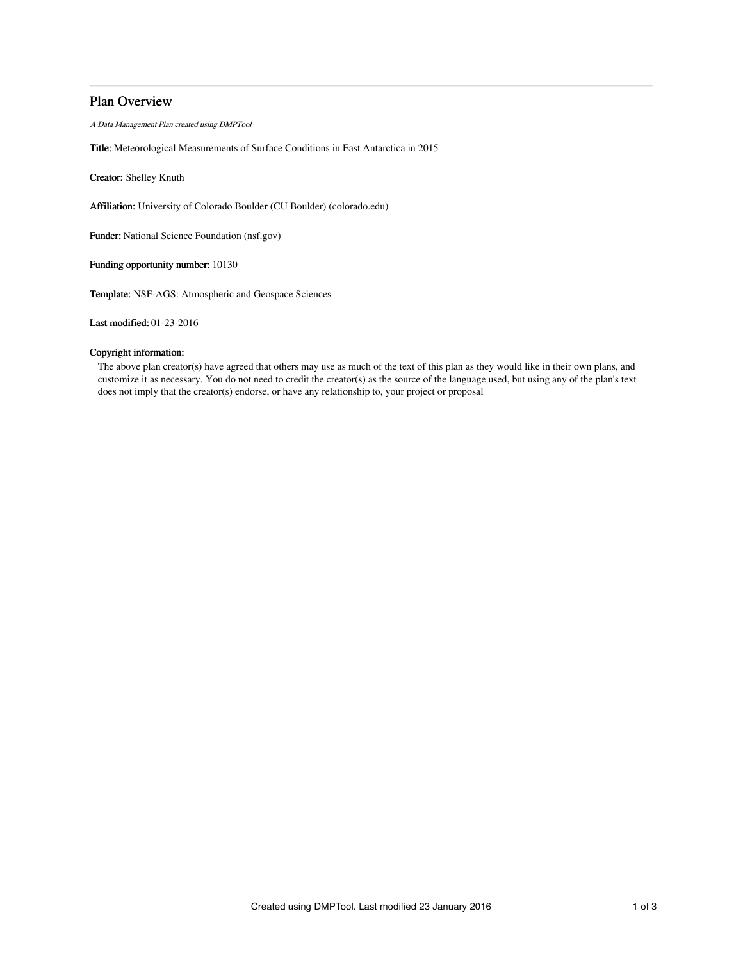# Plan Overview

A Data Management Plan created using DMPTool

Title: Meteorological Measurements of Surface Conditions in East Antarctica in 2015

Creator: Shelley Knuth

Affiliation: University of Colorado Boulder (CU Boulder) (colorado.edu)

Funder: National Science Foundation (nsf.gov)

Funding opportunity number: 10130

Template: NSF-AGS: Atmospheric and Geospace Sciences

Last modified: 01-23-2016

# Copyright information:

The above plan creator(s) have agreed that others may use as much of the text of this plan as they would like in their own plans, and customize it as necessary. You do not need to credit the creator(s) as the source of the language used, but using any of the plan's text does not imply that the creator(s) endorse, or have any relationship to, your project or proposal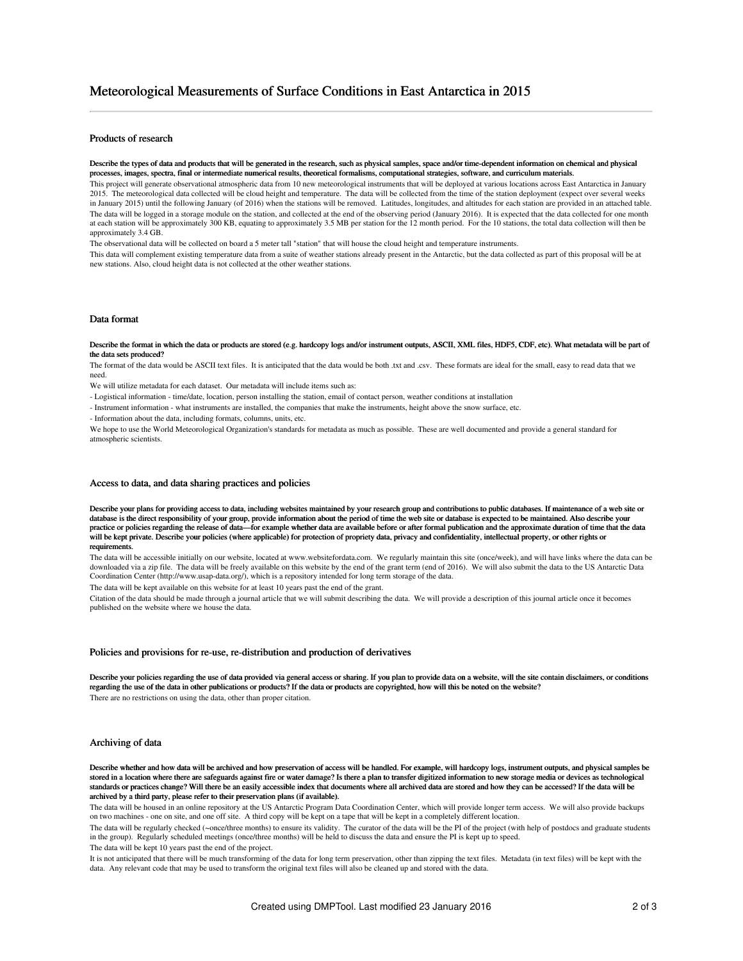## Products of research

Describe the types of data and products that will be generated in the research, such as physical samples, space and/or time-dependent information on chemical and physical processes, images, spectra, final or intermediate numerical results, theoretical formalisms, computational strategies, software, and curriculum materials.

This project will generate observational atmospheric data from 10 new meteorological instruments that will be deployed at various locations across East Antarctica in January 2015. The meteorological data collected will be cloud height and temperature. The data will be collected from the time of the station deployment (expect over several weeks in January 2015) until the following January (of 2016) when the stations will be removed. Latitudes, longitudes, and altitudes for each station are provided in an attached table. The data will be logged in a storage module on the station, and collected at the end of the observing period (January 2016). It is expected that the data collected for one month at each station will be approximately 300 KB, equating to approximately 3.5 MB per station for the 12 month period. For the 10 stations, the total data collection will then be approximately 3.4 GB.

The observational data will be collected on board a 5 meter tall "station" that will house the cloud height and temperature instruments.

This data will complement existing temperature data from a suite of weather stations already present in the Antarctic, but the data collected as part of this proposal will be at new stations. Also, cloud height data is not collected at the other weather stations.

### Data format

Describe the format in which the data or products are stored (e.g. hardcopy logs and/or instrument outputs, ASCII, XML files, HDF5, CDF, etc). What metadata will be part of the data sets produced?

The format of the data would be ASCII text files. It is anticipated that the data would be both .txt and .csv. These formats are ideal for the small, easy to read data that we need.

We will utilize metadata for each dataset. Our metadata will include items such as:

- Logistical information - time/date, location, person installing the station, email of contact person, weather conditions at installation

- Instrument information - what instruments are installed, the companies that make the instruments, height above the snow surface, etc.

- Information about the data, including formats, columns, units, etc.

We hope to use the World Meteorological Organization's standards for metadata as much as possible. These are well documented and provide a general standard for atmospheric scientists.

#### Access to data, and data sharing practices and policies

Describe your plans for providing access to data, including websites maintained by your research group and contributions to public databases. If maintenance of a web site or database is the direct responsibility of your group, provide information about the period of time the web site or database is expected to be maintained. Also describe your practice or policies regarding the release of data—for example whether data are available before or after formal publication and the approximate duration of time that the data will be kept private. Describe your policies (where applicable) for protection of propriety data, privacy and confidentiality, intellectual property, or other rights or requirements.

The data will be accessible initially on our website, located at www.websitefordata.com. We regularly maintain this site (once/week), and will have links where the data can be downloaded via a zip file. The data will be freely available on this website by the end of the grant term (end of 2016). We will also submit the data to the US Antarctic Data Coordination Center (http://www.usap-data.org/), which is a repository intended for long term storage of the data.

The data will be kept available on this website for at least 10 years past the end of the grant.

Citation of the data should be made through a journal article that we will submit describing the data. We will provide a description of this journal article once it becomes published on the website where we house the data.

### Policies and provisions for re-use, re-distribution and production of derivatives

Describe your policies regarding the use of data provided via general access or sharing. If you plan to provide data on a website, will the site contain disclaimers, or conditions regarding the use of the data in other publications or products? If the data or products are copyrighted, how will this be noted on the website? There are no restrictions on using the data, other than proper citation.

#### Archiving of data

Describe whether and how data will be archived and how preservation of access will be handled. For example, will hardcopy logs, instrument outputs, and physical samples be stored in a location where there are safeguards against fire or water damage? Is there a plan to transfer digitized information to new storage media or devices as technological standards or practices change? Will there be an easily accessible index that documents where all archived data are stored and how they can be accessed? If the data will be archived by a third party, please refer to their preservation plans (if available).

The data will be housed in an online repository at the US Antarctic Program Data Coordination Center, which will provide longer term access. We will also provide backups on two machines - one on site, and one off site. A third copy will be kept on a tape that will be kept in a completely different location.

The data will be regularly checked (~once/three months) to ensure its validity. The curator of the data will be the PI of the project (with help of postdocs and graduate students in the group). Regularly scheduled meetings (once/three months) will be held to discuss the data and ensure the PI is kept up to speed.

The data will be kept 10 years past the end of the project.

It is not anticipated that there will be much transforming of the data for long term preservation, other than zipping the text files. Metadata (in text files) will be kept with the data. Any relevant code that may be used to transform the original text files will also be cleaned up and stored with the data.